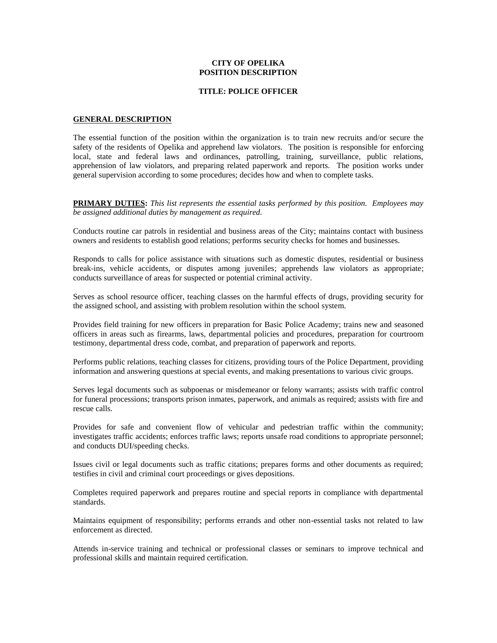### **CITY OF OPELIKA POSITION DESCRIPTION**

#### **TITLE: POLICE OFFICER**

#### **GENERAL DESCRIPTION**

The essential function of the position within the organization is to train new recruits and/or secure the safety of the residents of Opelika and apprehend law violators. The position is responsible for enforcing local, state and federal laws and ordinances, patrolling, training, surveillance, public relations, apprehension of law violators, and preparing related paperwork and reports. The position works under general supervision according to some procedures; decides how and when to complete tasks.

**PRIMARY DUTIES:** *This list represents the essential tasks performed by this position. Employees may be assigned additional duties by management as required.*

Conducts routine car patrols in residential and business areas of the City; maintains contact with business owners and residents to establish good relations; performs security checks for homes and businesses.

Responds to calls for police assistance with situations such as domestic disputes, residential or business break-ins, vehicle accidents, or disputes among juveniles; apprehends law violators as appropriate; conducts surveillance of areas for suspected or potential criminal activity.

Serves as school resource officer, teaching classes on the harmful effects of drugs, providing security for the assigned school, and assisting with problem resolution within the school system.

Provides field training for new officers in preparation for Basic Police Academy; trains new and seasoned officers in areas such as firearms, laws, departmental policies and procedures, preparation for courtroom testimony, departmental dress code, combat, and preparation of paperwork and reports.

Performs public relations, teaching classes for citizens, providing tours of the Police Department, providing information and answering questions at special events, and making presentations to various civic groups.

Serves legal documents such as subpoenas or misdemeanor or felony warrants; assists with traffic control for funeral processions; transports prison inmates, paperwork, and animals as required; assists with fire and rescue calls.

Provides for safe and convenient flow of vehicular and pedestrian traffic within the community; investigates traffic accidents; enforces traffic laws; reports unsafe road conditions to appropriate personnel; and conducts DUI/speeding checks.

Issues civil or legal documents such as traffic citations; prepares forms and other documents as required; testifies in civil and criminal court proceedings or gives depositions.

Completes required paperwork and prepares routine and special reports in compliance with departmental standards.

Maintains equipment of responsibility; performs errands and other non-essential tasks not related to law enforcement as directed.

Attends in-service training and technical or professional classes or seminars to improve technical and professional skills and maintain required certification.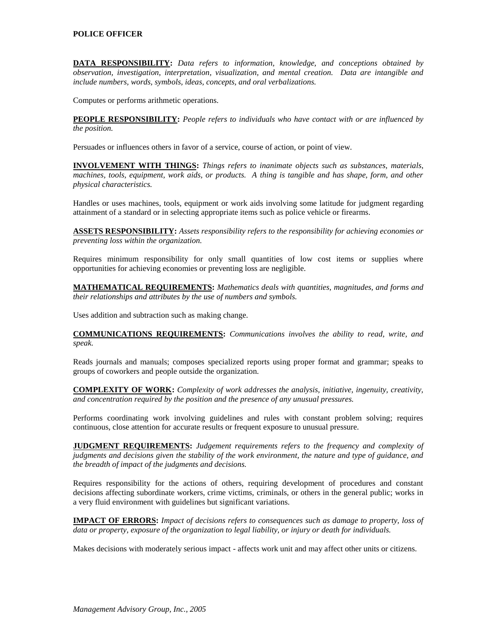## **POLICE OFFICER**

**DATA RESPONSIBILITY:** *Data refers to information, knowledge, and conceptions obtained by observation, investigation, interpretation, visualization, and mental creation. Data are intangible and include numbers, words, symbols, ideas, concepts, and oral verbalizations.*

Computes or performs arithmetic operations.

**PEOPLE RESPONSIBILITY:** *People refers to individuals who have contact with or are influenced by the position.*

Persuades or influences others in favor of a service, course of action, or point of view.

**INVOLVEMENT WITH THINGS:** *Things refers to inanimate objects such as substances, materials, machines, tools, equipment, work aids, or products. A thing is tangible and has shape, form, and other physical characteristics.*

Handles or uses machines, tools, equipment or work aids involving some latitude for judgment regarding attainment of a standard or in selecting appropriate items such as police vehicle or firearms.

**ASSETS RESPONSIBILITY:** *Assets responsibility refers to the responsibility for achieving economies or preventing loss within the organization.*

Requires minimum responsibility for only small quantities of low cost items or supplies where opportunities for achieving economies or preventing loss are negligible.

**MATHEMATICAL REQUIREMENTS:** *Mathematics deals with quantities, magnitudes, and forms and their relationships and attributes by the use of numbers and symbols.*

Uses addition and subtraction such as making change.

**COMMUNICATIONS REQUIREMENTS:** *Communications involves the ability to read, write, and speak.*

Reads journals and manuals; composes specialized reports using proper format and grammar; speaks to groups of coworkers and people outside the organization.

**COMPLEXITY OF WORK:** *Complexity of work addresses the analysis, initiative, ingenuity, creativity, and concentration required by the position and the presence of any unusual pressures.*

Performs coordinating work involving guidelines and rules with constant problem solving; requires continuous, close attention for accurate results or frequent exposure to unusual pressure.

**JUDGMENT REQUIREMENTS:** *Judgement requirements refers to the frequency and complexity of judgments and decisions given the stability of the work environment, the nature and type of guidance, and the breadth of impact of the judgments and decisions.*

Requires responsibility for the actions of others, requiring development of procedures and constant decisions affecting subordinate workers, crime victims, criminals, or others in the general public; works in a very fluid environment with guidelines but significant variations.

**IMPACT OF ERRORS:** *Impact of decisions refers to consequences such as damage to property, loss of data or property, exposure of the organization to legal liability, or injury or death for individuals.*

Makes decisions with moderately serious impact - affects work unit and may affect other units or citizens.